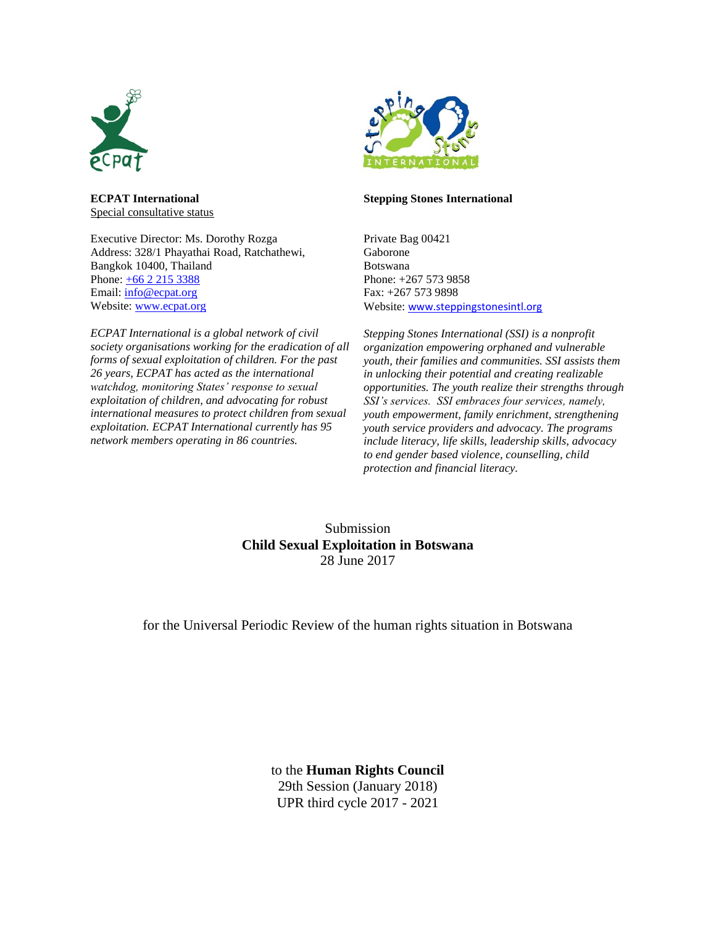

**ECPAT International** Special consultative status

Executive Director: Ms. Dorothy Rozga Address: 328/1 Phayathai Road, Ratchathewi, Bangkok 10400, Thailand Phone:  $\pm 66$  2 215 3388 Email: info@ecpat.org Website: [www.ecpat.org](http://www.ecpat.org/)

*ECPAT International is a global network of civil society organisations working for the eradication of all forms of sexual exploitation of children. For the past 26 years, ECPAT has acted as the international watchdog, monitoring States' response to sexual exploitation of children, and advocating for robust international measures to protect children from sexual exploitation. ECPAT International currently has 95 network members operating in 86 countries.*



#### **Stepping Stones International**

Private Bag 00421 Gaborone Botswana Phone: +267 573 9858 Fax: +267 573 9898 Website: [www.steppingstonesintl.org](http://www.steppingstonesintl.org/)

*Stepping Stones International (SSI) is a nonprofit organization empowering orphaned and vulnerable youth, their families and communities. SSI assists them in unlocking their potential and creating realizable opportunities. The youth realize their strengths through SSI's services. SSI embraces four services, namely, youth empowerment, family enrichment, strengthening youth service providers and advocacy. The programs include literacy, life skills, leadership skills, advocacy to end gender based violence, counselling, child protection and financial literacy.* 

Submission **Child Sexual Exploitation in Botswana** 28 June 2017

for the Universal Periodic Review of the human rights situation in Botswana

to the **Human Rights Council** 29th Session (January 2018) UPR third cycle 2017 - 2021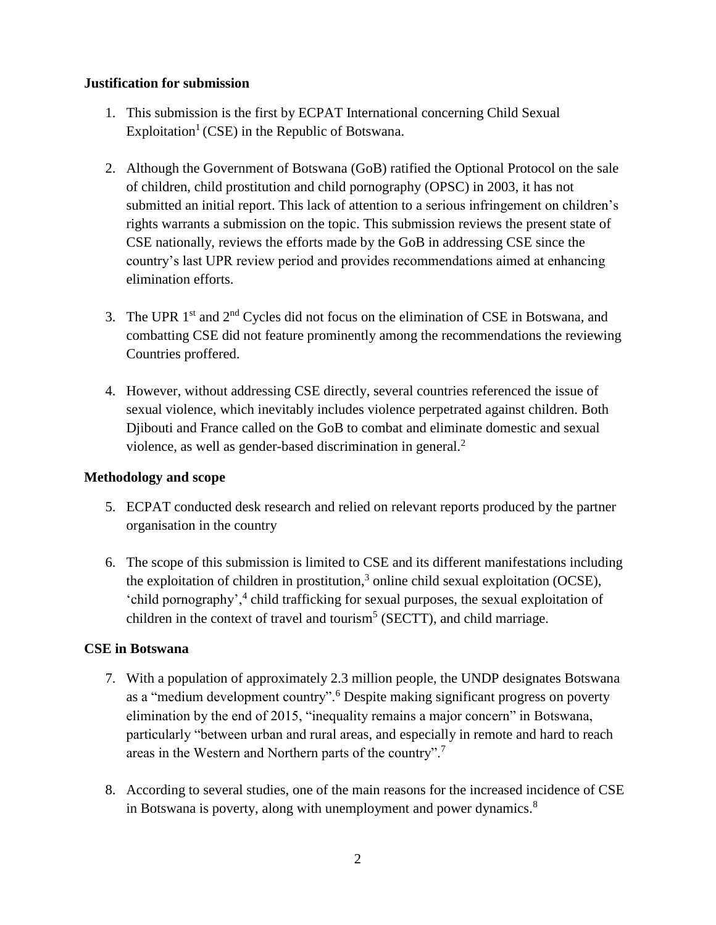### **Justification for submission**

- 1. This submission is the first by ECPAT International concerning Child Sexual Exploitation<sup>1</sup> (CSE) in the Republic of Botswana.
- 2. Although the Government of Botswana (GoB) ratified the Optional Protocol on the sale of children, child prostitution and child pornography (OPSC) in 2003, it has not submitted an initial report. This lack of attention to a serious infringement on children's rights warrants a submission on the topic. This submission reviews the present state of CSE nationally, reviews the efforts made by the GoB in addressing CSE since the country's last UPR review period and provides recommendations aimed at enhancing elimination efforts.
- 3. The UPR  $1<sup>st</sup>$  and  $2<sup>nd</sup>$  Cycles did not focus on the elimination of CSE in Botswana, and combatting CSE did not feature prominently among the recommendations the reviewing Countries proffered.
- 4. However, without addressing CSE directly, several countries referenced the issue of sexual violence, which inevitably includes violence perpetrated against children. Both Djibouti and France called on the GoB to combat and eliminate domestic and sexual violence, as well as gender-based discrimination in general. $<sup>2</sup>$ </sup>

# **Methodology and scope**

- 5. ECPAT conducted desk research and relied on relevant reports produced by the partner organisation in the country
- 6. The scope of this submission is limited to CSE and its different manifestations including the exploitation of children in prostitution,<sup>3</sup> online child sexual exploitation (OCSE), 'child pornography',<sup>4</sup> child trafficking for sexual purposes, the sexual exploitation of children in the context of travel and tourism<sup>5</sup> (SECTT), and child marriage.

#### **CSE in Botswana**

- 7. With a population of approximately 2.3 million people, the UNDP designates Botswana as a "medium development country".<sup>6</sup> Despite making significant progress on poverty elimination by the end of 2015, "inequality remains a major concern" in Botswana, particularly "between urban and rural areas, and especially in remote and hard to reach areas in the Western and Northern parts of the country".<sup>7</sup>
- 8. According to several studies, one of the main reasons for the increased incidence of CSE in Botswana is poverty, along with unemployment and power dynamics.<sup>8</sup>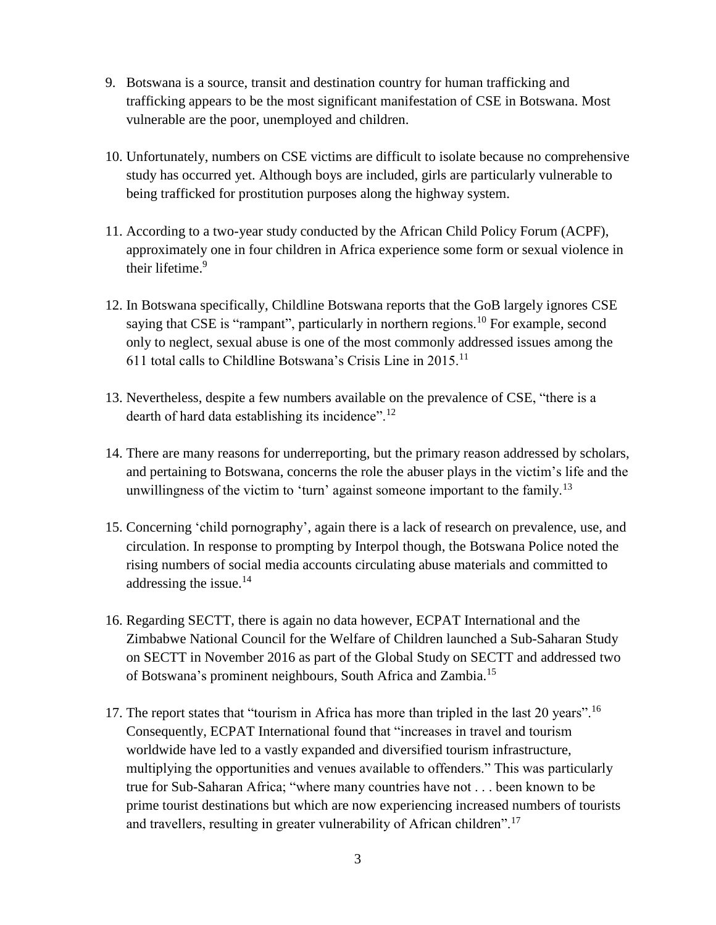- 9. Botswana is a source, transit and destination country for human trafficking and trafficking appears to be the most significant manifestation of CSE in Botswana. Most vulnerable are the poor, unemployed and children.
- 10. Unfortunately, numbers on CSE victims are difficult to isolate because no comprehensive study has occurred yet. Although boys are included, girls are particularly vulnerable to being trafficked for prostitution purposes along the highway system.
- 11. According to a two-year study conducted by the African Child Policy Forum (ACPF), approximately one in four children in Africa experience some form or sexual violence in their lifetime.<sup>9</sup>
- 12. In Botswana specifically, Childline Botswana reports that the GoB largely ignores CSE saying that CSE is "rampant", particularly in northern regions.<sup>10</sup> For example, second only to neglect, sexual abuse is one of the most commonly addressed issues among the 611 total calls to Childline Botswana's Crisis Line in  $2015$ <sup>11</sup>
- 13. Nevertheless, despite a few numbers available on the prevalence of CSE, "there is a dearth of hard data establishing its incidence".<sup>12</sup>
- 14. There are many reasons for underreporting, but the primary reason addressed by scholars, and pertaining to Botswana, concerns the role the abuser plays in the victim's life and the unwillingness of the victim to 'turn' against someone important to the family.<sup>13</sup>
- 15. Concerning 'child pornography', again there is a lack of research on prevalence, use, and circulation. In response to prompting by Interpol though, the Botswana Police noted the rising numbers of social media accounts circulating abuse materials and committed to addressing the issue.<sup>14</sup>
- 16. Regarding SECTT, there is again no data however, ECPAT International and the Zimbabwe National Council for the Welfare of Children launched a Sub-Saharan Study on SECTT in November 2016 as part of the Global Study on SECTT and addressed two of Botswana's prominent neighbours, South Africa and Zambia.<sup>15</sup>
- 17. The report states that "tourism in Africa has more than tripled in the last 20 years".<sup>16</sup> Consequently, ECPAT International found that "increases in travel and tourism worldwide have led to a vastly expanded and diversified tourism infrastructure, multiplying the opportunities and venues available to offenders." This was particularly true for Sub-Saharan Africa; "where many countries have not . . . been known to be prime tourist destinations but which are now experiencing increased numbers of tourists and travellers, resulting in greater vulnerability of African children".<sup>17</sup>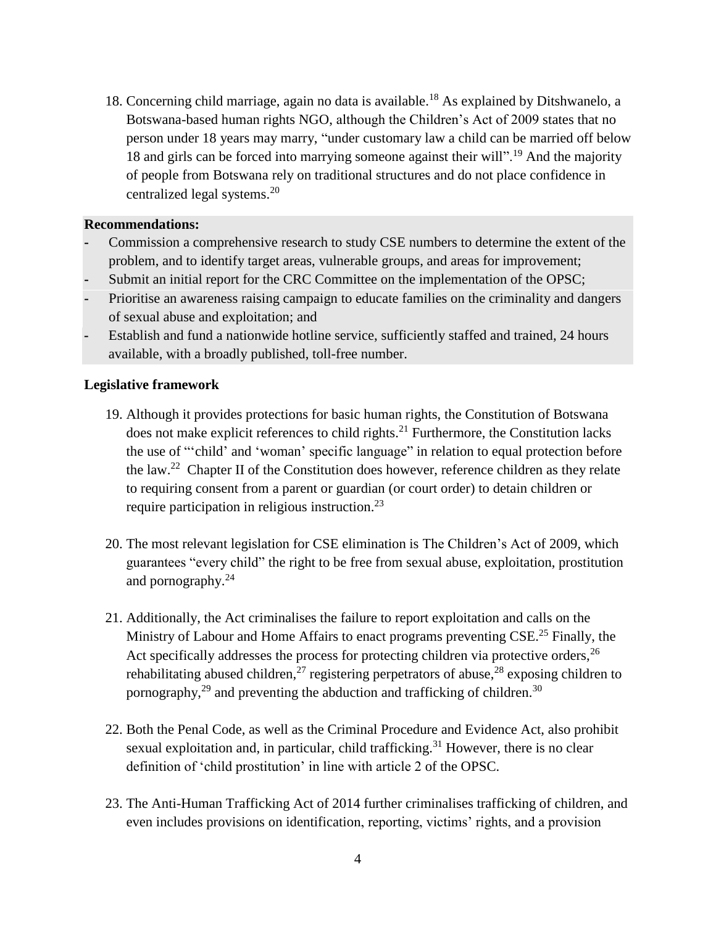18. Concerning child marriage, again no data is available. <sup>18</sup> As explained by Ditshwanelo, a Botswana-based human rights NGO, although the Children's Act of 2009 states that no person under 18 years may marry, "under customary law a child can be married off below 18 and girls can be forced into marrying someone against their will".<sup>19</sup> And the majority of people from Botswana rely on traditional structures and do not place confidence in centralized legal systems.<sup>20</sup>

#### **Recommendations:**

- **-** Commission a comprehensive research to study CSE numbers to determine the extent of the problem, and to identify target areas, vulnerable groups, and areas for improvement;
- **-** Submit an initial report for the CRC Committee on the implementation of the OPSC;
- **-** Prioritise an awareness raising campaign to educate families on the criminality and dangers of sexual abuse and exploitation; and
- **-** Establish and fund a nationwide hotline service, sufficiently staffed and trained, 24 hours available, with a broadly published, toll-free number.

#### **Legislative framework**

- 19. Although it provides protections for basic human rights, the Constitution of Botswana does not make explicit references to child rights.<sup>21</sup> Furthermore, the Constitution lacks the use of "'child' and 'woman' specific language" in relation to equal protection before the law.<sup>22</sup> Chapter II of the Constitution does however, reference children as they relate to requiring consent from a parent or guardian (or court order) to detain children or require participation in religious instruction.<sup>23</sup>
- 20. The most relevant legislation for CSE elimination is The Children's Act of 2009, which guarantees "every child" the right to be free from sexual abuse, exploitation, prostitution and pornography.<sup>24</sup>
- 21. Additionally, the Act criminalises the failure to report exploitation and calls on the Ministry of Labour and Home Affairs to enact programs preventing CSE.<sup>25</sup> Finally, the Act specifically addresses the process for protecting children via protective orders, <sup>26</sup> rehabilitating abused children,<sup>27</sup> registering perpetrators of abuse,<sup>28</sup> exposing children to pornography, $^{29}$  and preventing the abduction and trafficking of children.<sup>30</sup>
- 22. Both the Penal Code, as well as the Criminal Procedure and Evidence Act, also prohibit sexual exploitation and, in particular, child trafficking.<sup>31</sup> However, there is no clear definition of 'child prostitution' in line with article 2 of the OPSC.
- 23. The Anti-Human Trafficking Act of 2014 further criminalises trafficking of children, and even includes provisions on identification, reporting, victims' rights, and a provision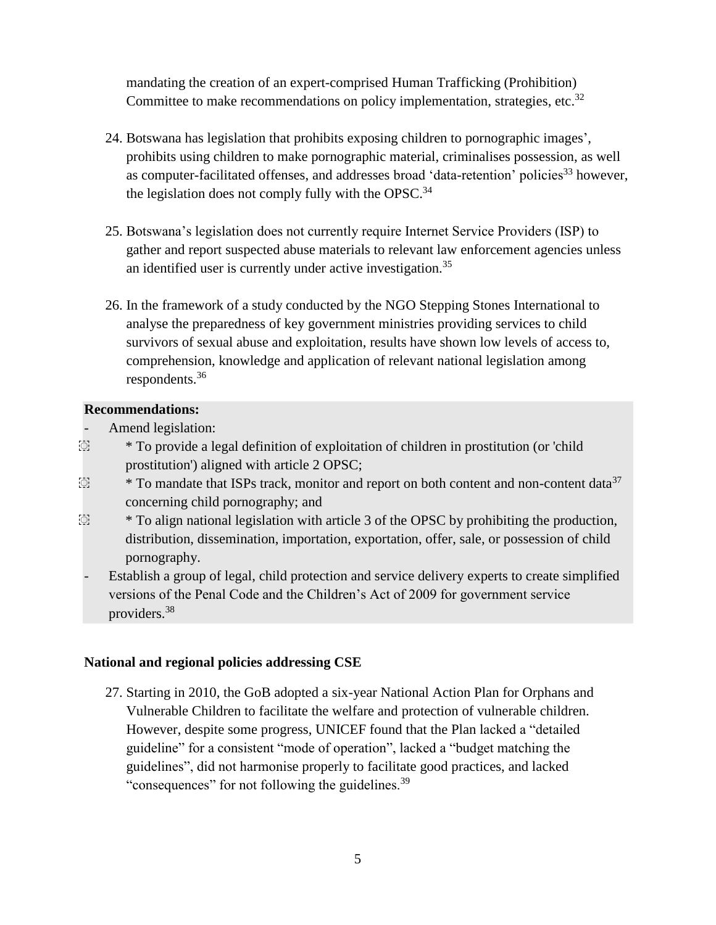mandating the creation of an expert-comprised Human Trafficking (Prohibition) Committee to make recommendations on policy implementation, strategies, etc.<sup>32</sup>

- 24. Botswana has legislation that prohibits exposing children to pornographic images', prohibits using children to make pornographic material, criminalises possession, as well as computer-facilitated offenses, and addresses broad 'data-retention' policies<sup>33</sup> however, the legislation does not comply fully with the OPSC. $34$
- 25. Botswana's legislation does not currently require Internet Service Providers (ISP) to gather and report suspected abuse materials to relevant law enforcement agencies unless an identified user is currently under active investigation.<sup>35</sup>
- 26. In the framework of a study conducted by the NGO Stepping Stones International to analyse the preparedness of key government ministries providing services to child survivors of sexual abuse and exploitation, results have shown low levels of access to, comprehension, knowledge and application of relevant national legislation among respondents.<sup>36</sup>

## **Recommendations:**

- Amend legislation:
- ͏ \* To provide a legal definition of exploitation of children in prostitution (or 'child prostitution') aligned with article 2 OPSC;
- $\mathbb{S}$  \* To mandate that ISPs track, monitor and report on both content and non-content data<sup>37</sup> concerning child pornography; and
- $\ddot{\odot}$  \* To align national legislation with article 3 of the OPSC by prohibiting the production, distribution, dissemination, importation, exportation, offer, sale, or possession of child pornography.
- Establish a group of legal, child protection and service delivery experts to create simplified versions of the Penal Code and the Children's Act of 2009 for government service providers.<sup>38</sup>

# **National and regional policies addressing CSE**

27. Starting in 2010, the GoB adopted a six-year National Action Plan for Orphans and Vulnerable Children to facilitate the welfare and protection of vulnerable children. However, despite some progress, UNICEF found that the Plan lacked a "detailed guideline" for a consistent "mode of operation", lacked a "budget matching the guidelines", did not harmonise properly to facilitate good practices, and lacked "consequences" for not following the guidelines.<sup>39</sup>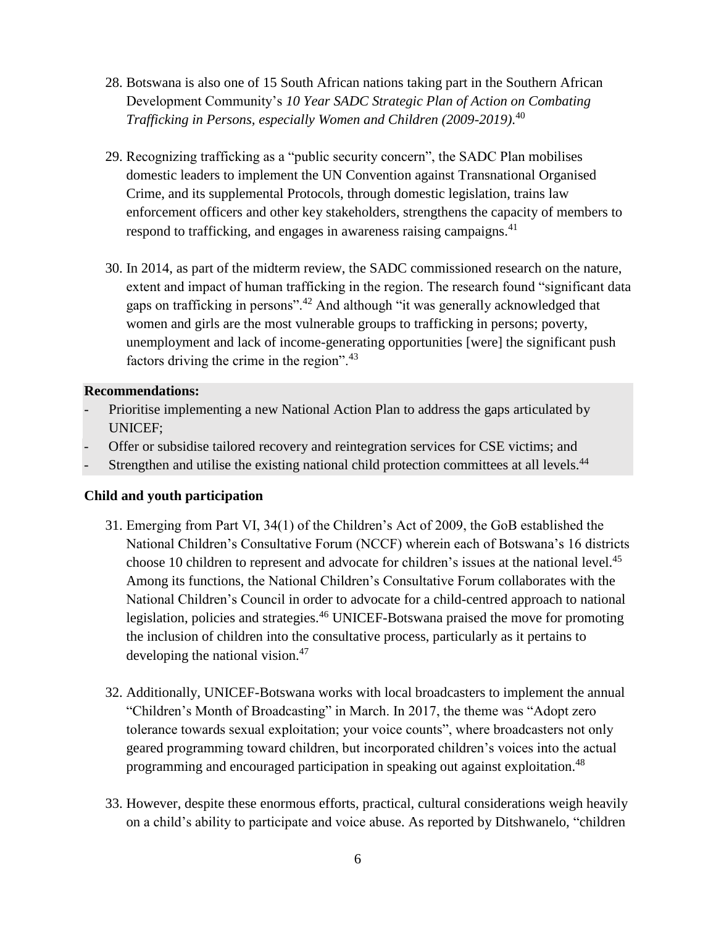- 28. Botswana is also one of 15 South African nations taking part in the Southern African Development Community's *10 Year SADC Strategic Plan of Action on Combating Trafficking in Persons, especially Women and Children (2009-2019)*. 40
- 29. Recognizing trafficking as a "public security concern", the SADC Plan mobilises domestic leaders to implement the UN Convention against Transnational Organised Crime, and its supplemental Protocols, through domestic legislation, trains law enforcement officers and other key stakeholders, strengthens the capacity of members to respond to trafficking, and engages in awareness raising campaigns.<sup>41</sup>
- 30. In 2014, as part of the midterm review, the SADC commissioned research on the nature, extent and impact of human trafficking in the region. The research found "significant data gaps on trafficking in persons".<sup>42</sup> And although "it was generally acknowledged that women and girls are the most vulnerable groups to trafficking in persons; poverty, unemployment and lack of income-generating opportunities [were] the significant push factors driving the crime in the region".<sup>43</sup>

## **Recommendations:**

- Prioritise implementing a new National Action Plan to address the gaps articulated by UNICEF;
- Offer or subsidise tailored recovery and reintegration services for CSE victims; and
- Strengthen and utilise the existing national child protection committees at all levels.<sup>44</sup>

# **Child and youth participation**

- 31. Emerging from Part VI, 34(1) of the Children's Act of 2009, the GoB established the National Children's Consultative Forum (NCCF) wherein each of Botswana's 16 districts choose 10 children to represent and advocate for children's issues at the national level.<sup>45</sup> Among its functions, the National Children's Consultative Forum collaborates with the National Children's Council in order to advocate for a child-centred approach to national legislation, policies and strategies.<sup>46</sup> UNICEF-Botswana praised the move for promoting the inclusion of children into the consultative process, particularly as it pertains to developing the national vision.<sup>47</sup>
- 32. Additionally, UNICEF-Botswana works with local broadcasters to implement the annual "Children's Month of Broadcasting" in March. In 2017, the theme was "Adopt zero tolerance towards sexual exploitation; your voice counts", where broadcasters not only geared programming toward children, but incorporated children's voices into the actual programming and encouraged participation in speaking out against exploitation.<sup>48</sup>
- 33. However, despite these enormous efforts, practical, cultural considerations weigh heavily on a child's ability to participate and voice abuse. As reported by Ditshwanelo, "children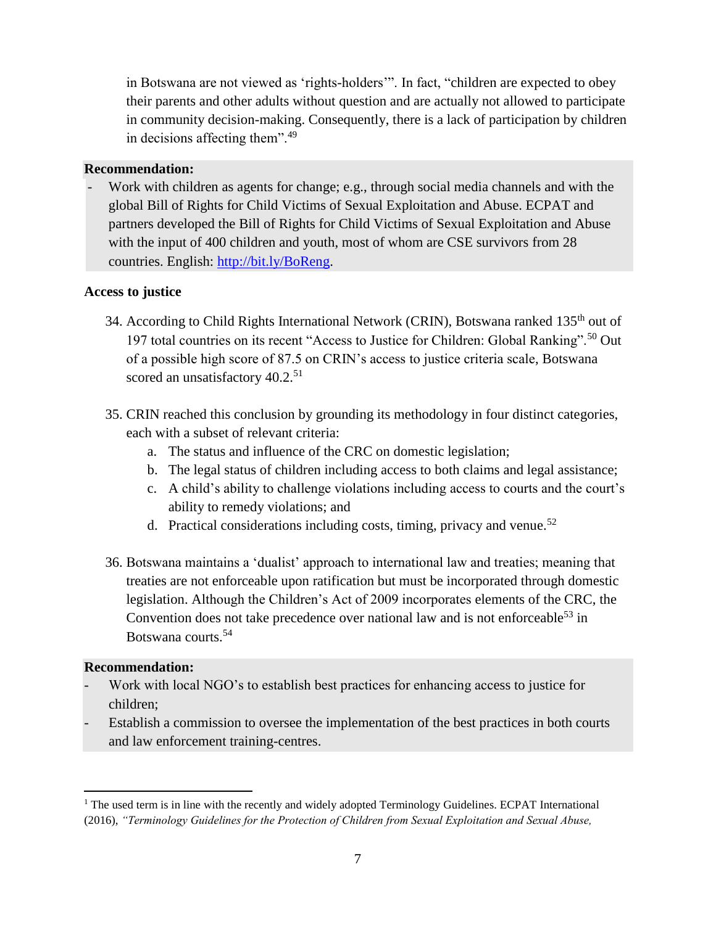in Botswana are not viewed as 'rights-holders'". In fact, "children are expected to obey their parents and other adults without question and are actually not allowed to participate in community decision-making. Consequently, there is a lack of participation by children in decisions affecting them".<sup>49</sup>

## **Recommendation:**

Work with children as agents for change; e.g., through social media channels and with the global Bill of Rights for Child Victims of Sexual Exploitation and Abuse. ECPAT and partners developed the Bill of Rights for Child Victims of Sexual Exploitation and Abuse with the input of 400 children and youth, most of whom are CSE survivors from 28 countries. English: http://bit.ly/BoReng.

# **Access to justice**

- 34. According to Child Rights International Network (CRIN), Botswana ranked 135<sup>th</sup> out of 197 total countries on its recent "Access to Justice for Children: Global Ranking".<sup>50</sup> Out of a possible high score of 87.5 on CRIN's access to justice criteria scale, Botswana scored an unsatisfactory 40.2.<sup>51</sup>
- 35. CRIN reached this conclusion by grounding its methodology in four distinct categories, each with a subset of relevant criteria:
	- a. The status and influence of the CRC on domestic legislation;
	- b. The legal status of children including access to both claims and legal assistance;
	- c. A child's ability to challenge violations including access to courts and the court's ability to remedy violations; and
	- d. Practical considerations including costs, timing, privacy and venue.<sup>52</sup>
- 36. Botswana maintains a 'dualist' approach to international law and treaties; meaning that treaties are not enforceable upon ratification but must be incorporated through domestic legislation. Although the Children's Act of 2009 incorporates elements of the CRC, the Convention does not take precedence over national law and is not enforceable<sup>53</sup> in Botswana courts.<sup>54</sup>

#### **Recommendation:**

 $\overline{a}$ 

- Work with local NGO's to establish best practices for enhancing access to justice for children;
- Establish a commission to oversee the implementation of the best practices in both courts and law enforcement training-centres.

<sup>&</sup>lt;sup>1</sup> The used term is in line with the recently and widely adopted Terminology Guidelines. ECPAT International (2016), *"Terminology Guidelines for the Protection of Children from Sexual Exploitation and Sexual Abuse,*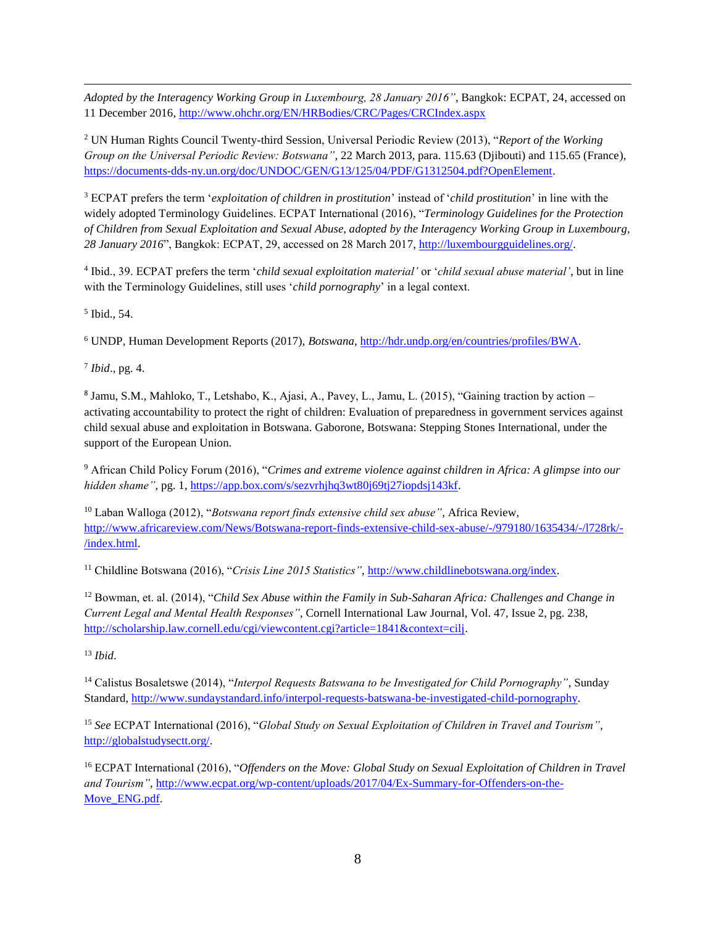*Adopted by the Interagency Working Group in Luxembourg, 28 January 2016"*, Bangkok: ECPAT, 24, accessed on 11 December 2016,<http://www.ohchr.org/EN/HRBodies/CRC/Pages/CRCIndex.aspx>

<sup>2</sup> UN Human Rights Council Twenty-third Session, Universal Periodic Review (2013), "*Report of the Working Group on the Universal Periodic Review: Botswana"*, 22 March 2013, para. 115.63 (Djibouti) and 115.65 (France), [https://documents-dds-ny.un.org/doc/UNDOC/GEN/G13/125/04/PDF/G1312504.pdf?OpenElement.](https://documents-dds-ny.un.org/doc/UNDOC/GEN/G13/125/04/PDF/G1312504.pdf?OpenElement)

<sup>3</sup> ECPAT prefers the term '*exploitation of children in prostitution*' instead of '*child prostitution*' in line with the widely adopted Terminology Guidelines. ECPAT International (2016), "*Terminology Guidelines for the Protection of Children from Sexual Exploitation and Sexual Abuse, adopted by the Interagency Working Group in Luxembourg, 28 January 2016*", Bangkok: ECPAT, 29, accessed on 28 March 2017, [http://luxembourgguidelines.org/.](http://luxembourgguidelines.org/)

4 Ibid., 39. ECPAT prefers the term '*child sexual exploitation material'* or '*child sexual abuse material'*, but in line with the Terminology Guidelines, still uses '*child pornography*' in a legal context.

5 Ibid., 54.

 $\overline{a}$ 

<sup>6</sup> UNDP, Human Development Reports (2017), *Botswana*, [http://hdr.undp.org/en/countries/profiles/BWA.](http://hdr.undp.org/en/countries/profiles/BWA)

7 *Ibid*., pg. 4.

8 Jamu, S.M., Mahloko, T., Letshabo, K., Ajasi, A., Pavey, L., Jamu, L. (2015), "Gaining traction by action – activating accountability to protect the right of children: Evaluation of preparedness in government services against child sexual abuse and exploitation in Botswana. Gaborone, Botswana: Stepping Stones International, under the support of the European Union.

<sup>9</sup> African Child Policy Forum (2016), "*Crimes and extreme violence against children in Africa: A glimpse into our hidden shame"*, pg. 1, [https://app.box.com/s/sezvrhjhq3wt80j69tj27iopdsj143kf.](https://app.box.com/s/sezvrhjhq3wt80j69tj27iopdsj143kf)

<sup>10</sup> Laban Walloga (2012), "*Botswana report finds extensive child sex abuse"*, Africa Review, [http://www.africareview.com/News/Botswana-report-finds-extensive-child-sex-abuse/-/979180/1635434/-/l728rk/-](http://www.africareview.com/News/Botswana-report-finds-extensive-child-sex-abuse/-/979180/1635434/-/l728rk/-/index.html) [/index.html.](http://www.africareview.com/News/Botswana-report-finds-extensive-child-sex-abuse/-/979180/1635434/-/l728rk/-/index.html)

<sup>11</sup> Childline Botswana (2016), "*Crisis Line 2015 Statistics"*[, http://www.childlinebotswana.org/index.](http://www.childlinebotswana.org/index)

<sup>12</sup> Bowman, et. al. (2014), "*Child Sex Abuse within the Family in Sub-Saharan Africa: Challenges and Change in Current Legal and Mental Health Responses"*, Cornell International Law Journal, Vol. 47, Issue 2, pg. 238, [http://scholarship.law.cornell.edu/cgi/viewcontent.cgi?article=1841&context=cilj.](http://scholarship.law.cornell.edu/cgi/viewcontent.cgi?article=1841&context=cilj)

<sup>13</sup> *Ibid*.

<sup>14</sup> Calistus Bosaletswe (2014), "*Interpol Requests Batswana to be Investigated for Child Pornography"*, Sunday Standard[, http://www.sundaystandard.info/interpol-requests-batswana-be-investigated-child-pornography.](http://www.sundaystandard.info/interpol-requests-batswana-be-investigated-child-pornography)

<sup>15</sup> *See* ECPAT International (2016), "*Global Study on Sexual Exploitation of Children in Travel and Tourism"*, [http://globalstudysectt.org/.](http://globalstudysectt.org/)

<sup>16</sup> ECPAT International (2016), "*Offenders on the Move: Global Study on Sexual Exploitation of Children in Travel and Tourism"*, [http://www.ecpat.org/wp-content/uploads/2017/04/Ex-Summary-for-Offenders-on-the-](http://www.ecpat.org/wp-content/uploads/2017/04/Ex-Summary-for-Offenders-on-the-Move_ENG.pdf)[Move\\_ENG.pdf.](http://www.ecpat.org/wp-content/uploads/2017/04/Ex-Summary-for-Offenders-on-the-Move_ENG.pdf)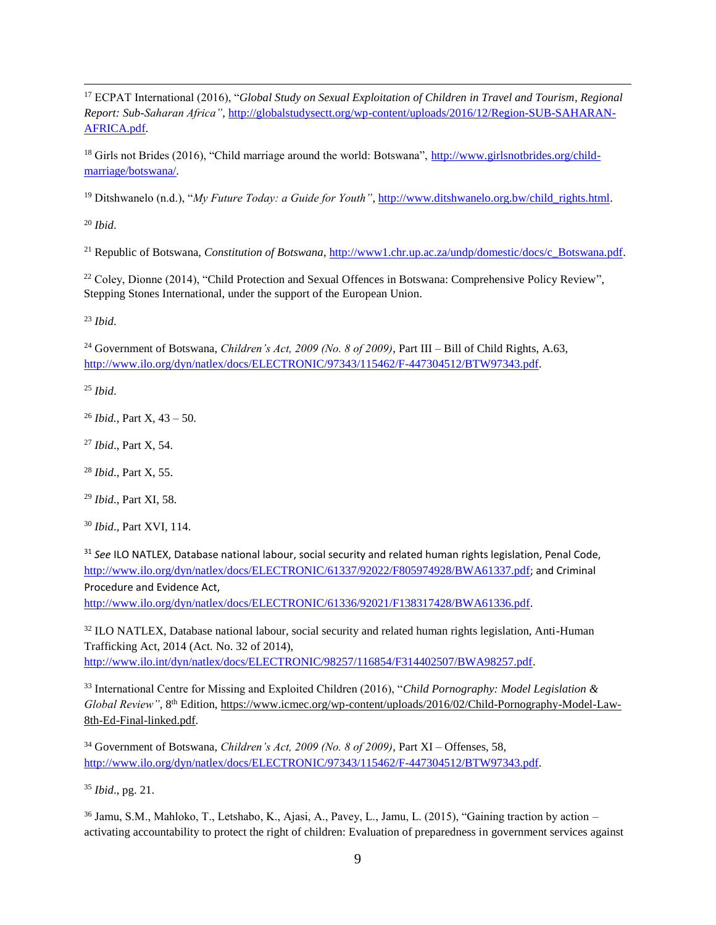<sup>17</sup> ECPAT International (2016), "*Global Study on Sexual Exploitation of Children in Travel and Tourism*, *Regional Report: Sub-Saharan Africa"*, [http://globalstudysectt.org/wp-content/uploads/2016/12/Region-SUB-SAHARAN-](http://globalstudysectt.org/wp-content/uploads/2016/12/Region-SUB-SAHARAN-AFRICA.pdf)[AFRICA.pdf.](http://globalstudysectt.org/wp-content/uploads/2016/12/Region-SUB-SAHARAN-AFRICA.pdf)

<sup>18</sup> Girls not Brides (2016), "Child marriage around the world: Botswana", [http://www.girlsnotbrides.org/child](http://www.girlsnotbrides.org/child-marriage/botswana/)[marriage/botswana/.](http://www.girlsnotbrides.org/child-marriage/botswana/)

<sup>19</sup> Ditshwanelo (n.d.), "*My Future Today: a Guide for Youth"*[, http://www.ditshwanelo.org.bw/child\\_rights.html.](http://www.ditshwanelo.org.bw/child_rights.html)

<sup>20</sup> *Ibid*.

 $\overline{a}$ 

<sup>21</sup> Republic of Botswana, *Constitution of Botswana*[, http://www1.chr.up.ac.za/undp/domestic/docs/c\\_Botswana.pdf.](http://www1.chr.up.ac.za/undp/domestic/docs/c_Botswana.pdf)

<sup>22</sup> Coley, Dionne (2014), "Child Protection and Sexual Offences in Botswana: Comprehensive Policy Review", Stepping Stones International, under the support of the European Union.

<sup>23</sup> *Ibid*.

<sup>24</sup> Government of Botswana, *Children's Act, 2009 (No. 8 of 2009)*, Part III – Bill of Child Rights, A.63, [http://www.ilo.org/dyn/natlex/docs/ELECTRONIC/97343/115462/F-447304512/BTW97343.pdf.](http://www.ilo.org/dyn/natlex/docs/ELECTRONIC/97343/115462/F-447304512/BTW97343.pdf)

<sup>25</sup> *Ibid*.

<sup>26</sup> *Ibid.*, Part X, 43 – 50.

<sup>27</sup> *Ibid*., Part X, 54.

<sup>28</sup> *Ibid*., Part X, 55.

<sup>29</sup> *Ibid*., Part XI, 58.

<sup>30</sup> *Ibid*., Part XVI, 114.

<sup>31</sup> *See* ILO NATLEX, Database national labour, social security and related human rights legislation, Penal Code, <http://www.ilo.org/dyn/natlex/docs/ELECTRONIC/61337/92022/F805974928/BWA61337.pdf>; and Criminal Procedure and Evidence Act,

<http://www.ilo.org/dyn/natlex/docs/ELECTRONIC/61336/92021/F138317428/BWA61336.pdf>.

<sup>32</sup> ILO NATLEX, Database national labour, social security and related human rights legislation, Anti-Human Trafficking Act, 2014 (Act. No. 32 of 2014), [http://www.ilo.int/dyn/natlex/docs/ELECTRONIC/98257/116854/F314402507/BWA98257.pdf.](http://www.ilo.int/dyn/natlex/docs/ELECTRONIC/98257/116854/F314402507/BWA98257.pdf)

<sup>33</sup> International Centre for Missing and Exploited Children (2016), "*Child Pornography: Model Legislation & Global Review"*, 8<sup>th</sup> Edition[, https://www.icmec.org/wp-content/uploads/2016/02/Child-Pornography-Model-Law-](https://www.icmec.org/wp-content/uploads/2016/02/Child-Pornography-Model-Law-8th-Ed-Final-linked.pdf)[8th-Ed-Final-linked.pdf.](https://www.icmec.org/wp-content/uploads/2016/02/Child-Pornography-Model-Law-8th-Ed-Final-linked.pdf)

<sup>34</sup> Government of Botswana, *Children's Act, 2009 (No. 8 of 2009)*, Part XI – Offenses, 58, [http://www.ilo.org/dyn/natlex/docs/ELECTRONIC/97343/115462/F-447304512/BTW97343.pdf.](http://www.ilo.org/dyn/natlex/docs/ELECTRONIC/97343/115462/F-447304512/BTW97343.pdf)

<sup>35</sup> *Ibid*., pg. 21.

<sup>36</sup> Jamu, S.M., Mahloko, T., Letshabo, K., Ajasi, A., Pavey, L., Jamu, L. (2015), "Gaining traction by action – activating accountability to protect the right of children: Evaluation of preparedness in government services against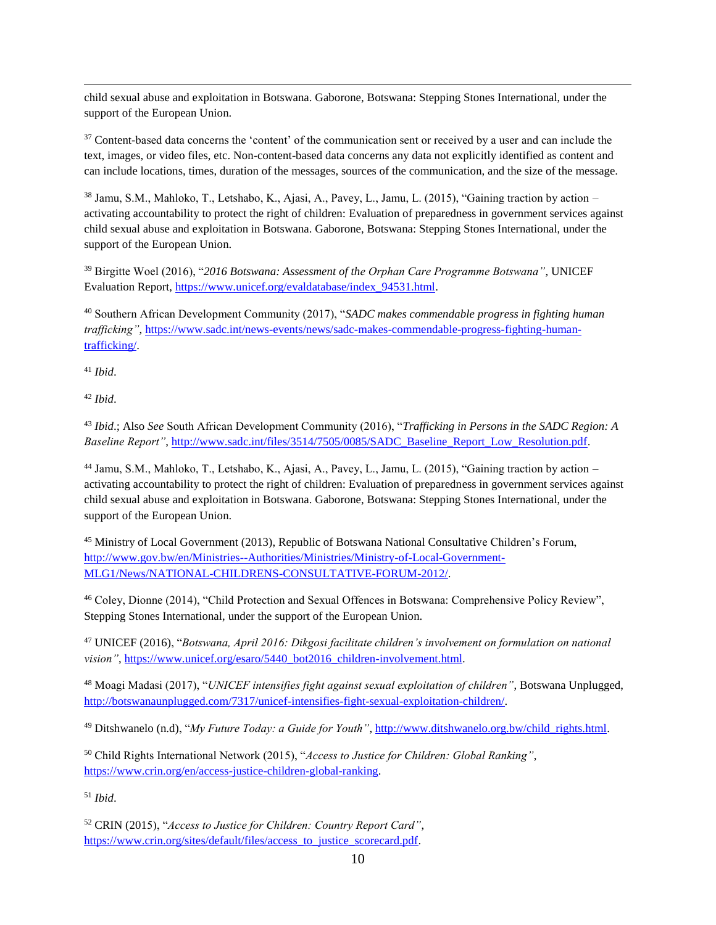$\overline{a}$ child sexual abuse and exploitation in Botswana. Gaborone, Botswana: Stepping Stones International, under the support of the European Union.

<sup>37</sup> Content-based data concerns the 'content' of the communication sent or received by a user and can include the text, images, or video files, etc. Non-content-based data concerns any data not explicitly identified as content and can include locations, times, duration of the messages, sources of the communication, and the size of the message.

<sup>38</sup> Jamu, S.M., Mahloko, T., Letshabo, K., Ajasi, A., Pavey, L., Jamu, L. (2015), "Gaining traction by action – activating accountability to protect the right of children: Evaluation of preparedness in government services against child sexual abuse and exploitation in Botswana. Gaborone, Botswana: Stepping Stones International, under the support of the European Union.

<sup>39</sup> Birgitte Woel (2016), "*2016 Botswana: Assessment of the Orphan Care Programme Botswana"*, UNICEF Evaluation Report, [https://www.unicef.org/evaldatabase/index\\_94531.html.](https://www.unicef.org/evaldatabase/index_94531.html)

<sup>40</sup> Southern African Development Community (2017), "*SADC makes commendable progress in fighting human trafficking"*, [https://www.sadc.int/news-events/news/sadc-makes-commendable-progress-fighting-human](https://www.sadc.int/news-events/news/sadc-makes-commendable-progress-fighting-human-trafficking/)[trafficking/.](https://www.sadc.int/news-events/news/sadc-makes-commendable-progress-fighting-human-trafficking/)

<sup>41</sup> *Ibid*.

<sup>42</sup> *Ibid*.

<sup>43</sup> *Ibid*.; Also *See* South African Development Community (2016), "*Trafficking in Persons in the SADC Region: A Baseline Report"*[, http://www.sadc.int/files/3514/7505/0085/SADC\\_Baseline\\_Report\\_Low\\_Resolution.pdf.](http://www.sadc.int/files/3514/7505/0085/SADC_Baseline_Report_Low_Resolution.pdf)

<sup>44</sup> Jamu, S.M., Mahloko, T., Letshabo, K., Ajasi, A., Pavey, L., Jamu, L. (2015), "Gaining traction by action – activating accountability to protect the right of children: Evaluation of preparedness in government services against child sexual abuse and exploitation in Botswana. Gaborone, Botswana: Stepping Stones International, under the support of the European Union.

<sup>45</sup> Ministry of Local Government (2013), Republic of Botswana National Consultative Children's Forum, [http://www.gov.bw/en/Ministries--Authorities/Ministries/Ministry-of-Local-Government-](http://www.gov.bw/en/Ministries--Authorities/Ministries/Ministry-of-Local-Government-MLG1/News/NATIONAL-CHILDRENS-CONSULTATIVE-FORUM-2012/)[MLG1/News/NATIONAL-CHILDRENS-CONSULTATIVE-FORUM-2012/.](http://www.gov.bw/en/Ministries--Authorities/Ministries/Ministry-of-Local-Government-MLG1/News/NATIONAL-CHILDRENS-CONSULTATIVE-FORUM-2012/)

<sup>46</sup> Coley, Dionne (2014), "Child Protection and Sexual Offences in Botswana: Comprehensive Policy Review", Stepping Stones International, under the support of the European Union.

<sup>47</sup> UNICEF (2016), "*Botswana, April 2016: Dikgosi facilitate children's involvement on formulation on national vision"*, [https://www.unicef.org/esaro/5440\\_bot2016\\_children-involvement.html.](https://www.unicef.org/esaro/5440_bot2016_children-involvement.html)

<sup>48</sup> Moagi Madasi (2017), "*UNICEF intensifies fight against sexual exploitation of children"*, Botswana Unplugged, [http://botswanaunplugged.com/7317/unicef-intensifies-fight-sexual-exploitation-children/.](http://botswanaunplugged.com/7317/unicef-intensifies-fight-sexual-exploitation-children/)

<sup>49</sup> Ditshwanelo (n.d), "*My Future Today: a Guide for Youth"*, [http://www.ditshwanelo.org.bw/child\\_rights.html.](http://www.ditshwanelo.org.bw/child_rights.html)

<sup>50</sup> Child Rights International Network (2015), "*Access to Justice for Children: Global Ranking"*, [https://www.crin.org/en/access-justice-children-global-ranking.](https://www.crin.org/en/access-justice-children-global-ranking)

<sup>51</sup> *Ibid*.

<sup>52</sup> CRIN (2015), "*Access to Justice for Children: Country Report Card"*, [https://www.crin.org/sites/default/files/access\\_to\\_justice\\_scorecard.pdf.](https://www.crin.org/sites/default/files/access_to_justice_scorecard.pdf)